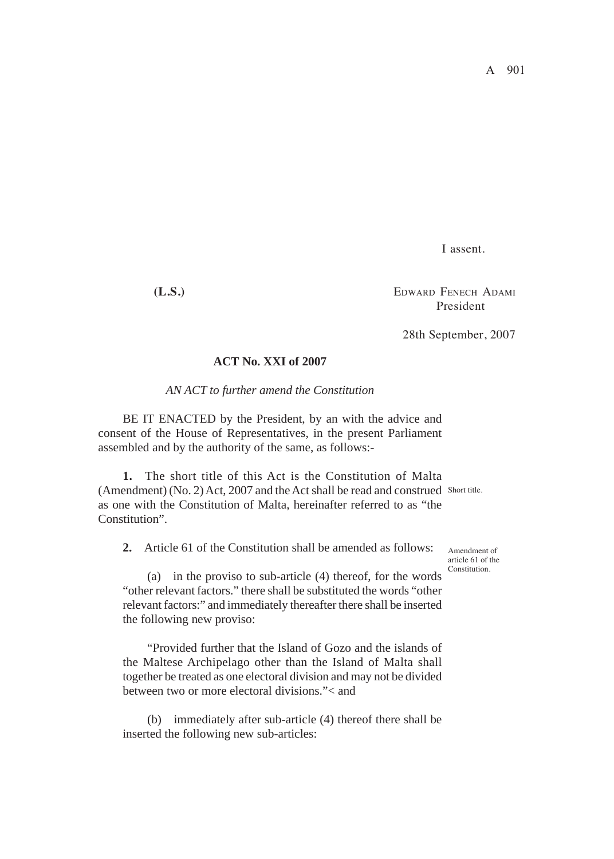I assent.

**(L.S.)** EDWARD FENECH ADAMI President

28th September, 2007

# **ACT No. XXI of 2007**

#### *AN ACT to further amend the Constitution*

BE IT ENACTED by the President, by an with the advice and consent of the House of Representatives, in the present Parliament assembled and by the authority of the same, as follows:-

**1.** The short title of this Act is the Constitution of Malta (Amendment) (No. 2) Act, 2007 and the Act shall be read and construed Short title. as one with the Constitution of Malta, hereinafter referred to as "the Constitution".

**2.** Article 61 of the Constitution shall be amended as follows:

Amendment of article 61 of the Constitution.

(a) in the proviso to sub-article (4) thereof, for the words "other relevant factors." there shall be substituted the words "other relevant factors:" and immediately thereafter there shall be inserted the following new proviso:

"Provided further that the Island of Gozo and the islands of the Maltese Archipelago other than the Island of Malta shall together be treated as one electoral division and may not be divided between two or more electoral divisions."< and

(b) immediately after sub-article (4) thereof there shall be inserted the following new sub-articles: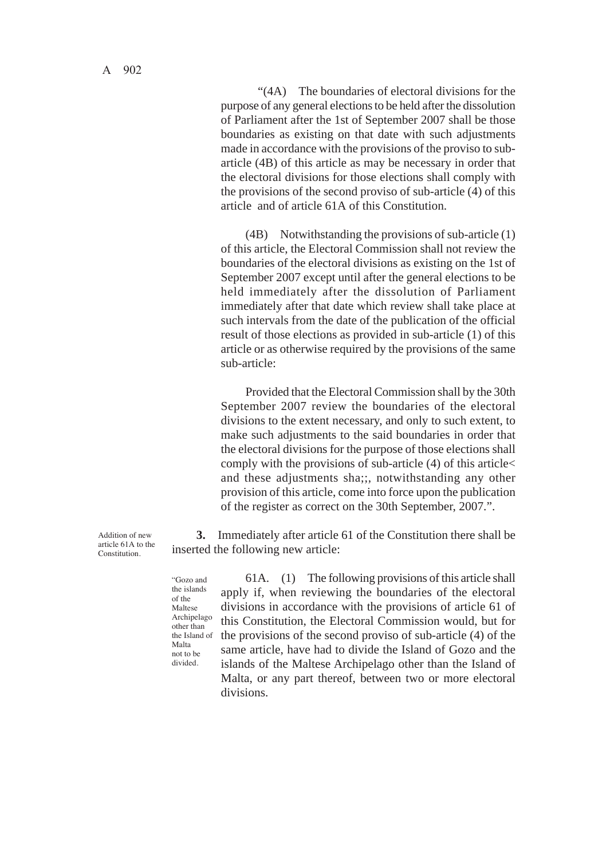"(4A) The boundaries of electoral divisions for the purpose of any general elections to be held after the dissolution of Parliament after the 1st of September 2007 shall be those boundaries as existing on that date with such adjustments made in accordance with the provisions of the proviso to subarticle (4B) of this article as may be necessary in order that the electoral divisions for those elections shall comply with the provisions of the second proviso of sub-article (4) of this article and of article 61A of this Constitution.

(4B) Notwithstanding the provisions of sub-article (1) of this article, the Electoral Commission shall not review the boundaries of the electoral divisions as existing on the 1st of September 2007 except until after the general elections to be held immediately after the dissolution of Parliament immediately after that date which review shall take place at such intervals from the date of the publication of the official result of those elections as provided in sub-article (1) of this article or as otherwise required by the provisions of the same sub-article:

Provided that the Electoral Commission shall by the 30th September 2007 review the boundaries of the electoral divisions to the extent necessary, and only to such extent, to make such adjustments to the said boundaries in order that the electoral divisions for the purpose of those elections shall comply with the provisions of sub-article (4) of this article< and these adjustments sha;;, notwithstanding any other provision of this article, come into force upon the publication of the register as correct on the 30th September, 2007.".

**3.** Immediately after article 61 of the Constitution there shall be inserted the following new article:

"Gozo and the islands of the Maltese Archipelago other than the Island of Malta not to be divided.

Addition of new article 61A to the Constitution.

> 61A. (1) The following provisions of this article shall apply if, when reviewing the boundaries of the electoral divisions in accordance with the provisions of article 61 of this Constitution, the Electoral Commission would, but for the provisions of the second proviso of sub-article (4) of the same article, have had to divide the Island of Gozo and the islands of the Maltese Archipelago other than the Island of Malta, or any part thereof, between two or more electoral divisions.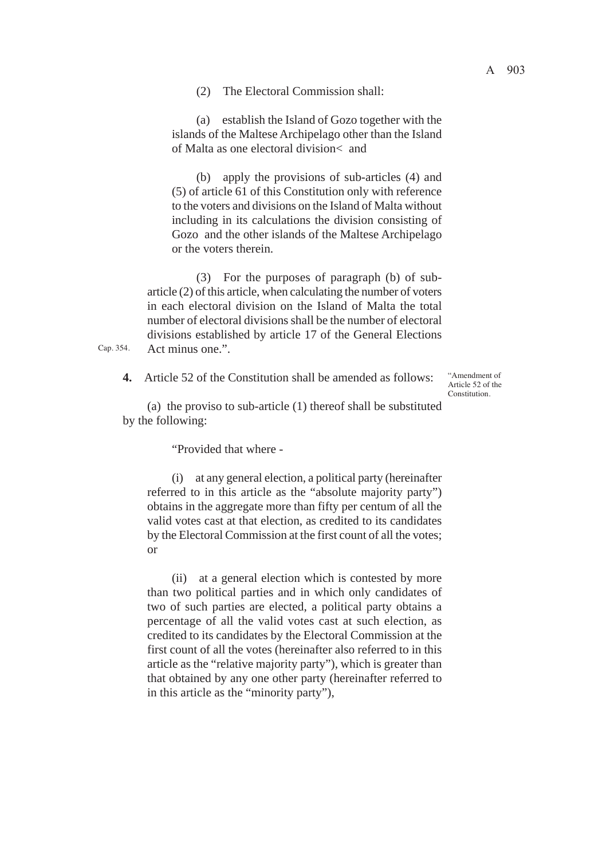(a) establish the Island of Gozo together with the islands of the Maltese Archipelago other than the Island of Malta as one electoral division< and

(b) apply the provisions of sub-articles (4) and (5) of article 61 of this Constitution only with reference to the voters and divisions on the Island of Malta without including in its calculations the division consisting of Gozo and the other islands of the Maltese Archipelago or the voters therein.

(3) For the purposes of paragraph (b) of subarticle (2) of this article, when calculating the number of voters in each electoral division on the Island of Malta the total number of electoral divisions shall be the number of electoral divisions established by article 17 of the General Elections Act minus one.".

> "Amendment of Article 52 of the **Constitution**

(a) the proviso to sub-article (1) thereof shall be substituted by the following:

**4.** Article 52 of the Constitution shall be amended as follows:

"Provided that where -

Cap. 354.

(i) at any general election, a political party (hereinafter referred to in this article as the "absolute majority party") obtains in the aggregate more than fifty per centum of all the valid votes cast at that election, as credited to its candidates by the Electoral Commission at the first count of all the votes; or

(ii) at a general election which is contested by more than two political parties and in which only candidates of two of such parties are elected, a political party obtains a percentage of all the valid votes cast at such election, as credited to its candidates by the Electoral Commission at the first count of all the votes (hereinafter also referred to in this article as the "relative majority party"), which is greater than that obtained by any one other party (hereinafter referred to in this article as the "minority party"),

A 903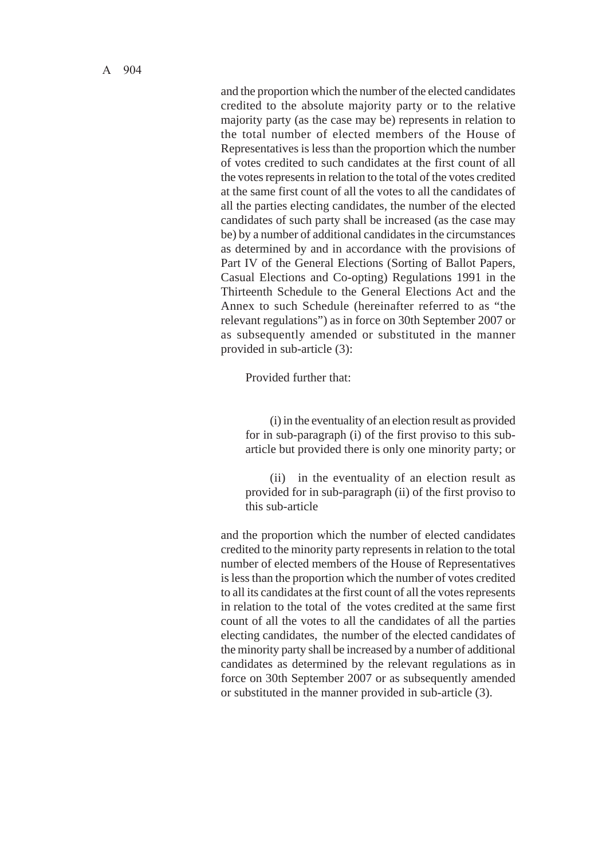and the proportion which the number of the elected candidates credited to the absolute majority party or to the relative majority party (as the case may be) represents in relation to the total number of elected members of the House of Representatives is less than the proportion which the number of votes credited to such candidates at the first count of all the votes represents in relation to the total of the votes credited at the same first count of all the votes to all the candidates of all the parties electing candidates, the number of the elected candidates of such party shall be increased (as the case may be) by a number of additional candidates in the circumstances as determined by and in accordance with the provisions of Part IV of the General Elections (Sorting of Ballot Papers, Casual Elections and Co-opting) Regulations 1991 in the Thirteenth Schedule to the General Elections Act and the Annex to such Schedule (hereinafter referred to as "the relevant regulations") as in force on 30th September 2007 or as subsequently amended or substituted in the manner provided in sub-article (3):

Provided further that:

(i) in the eventuality of an election result as provided for in sub-paragraph (i) of the first proviso to this subarticle but provided there is only one minority party; or

(ii) in the eventuality of an election result as provided for in sub-paragraph (ii) of the first proviso to this sub-article

and the proportion which the number of elected candidates credited to the minority party represents in relation to the total number of elected members of the House of Representatives is less than the proportion which the number of votes credited to all its candidates at the first count of all the votes represents in relation to the total of the votes credited at the same first count of all the votes to all the candidates of all the parties electing candidates, the number of the elected candidates of the minority party shall be increased by a number of additional candidates as determined by the relevant regulations as in force on 30th September 2007 or as subsequently amended or substituted in the manner provided in sub-article (3).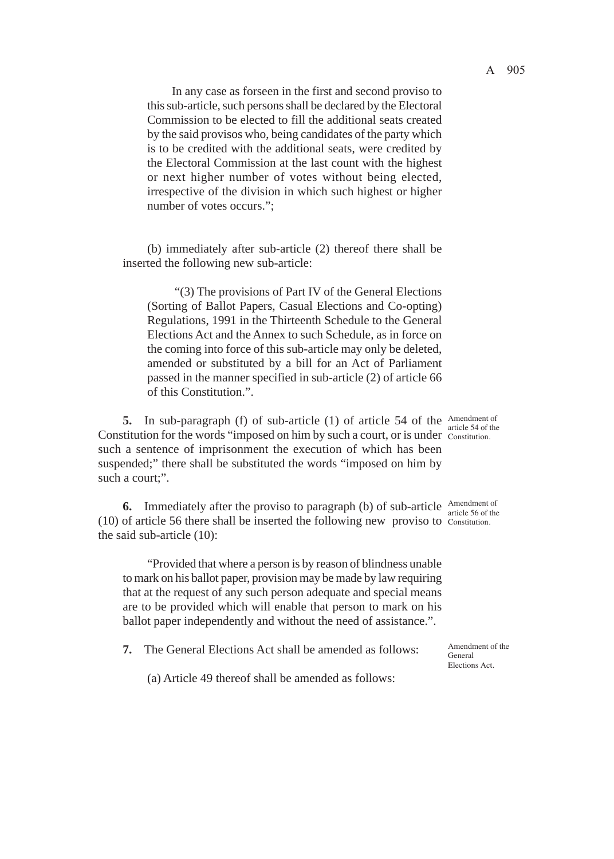In any case as forseen in the first and second proviso to this sub-article, such persons shall be declared by the Electoral Commission to be elected to fill the additional seats created by the said provisos who, being candidates of the party which is to be credited with the additional seats, were credited by the Electoral Commission at the last count with the highest or next higher number of votes without being elected, irrespective of the division in which such highest or higher number of votes occurs.";

(b) immediately after sub-article (2) thereof there shall be inserted the following new sub-article:

"(3) The provisions of Part IV of the General Elections (Sorting of Ballot Papers, Casual Elections and Co-opting) Regulations, 1991 in the Thirteenth Schedule to the General Elections Act and the Annex to such Schedule, as in force on the coming into force of this sub-article may only be deleted, amended or substituted by a bill for an Act of Parliament passed in the manner specified in sub-article (2) of article 66 of this Constitution.".

**5.** In sub-paragraph (f) of sub-article (1) of article 54 of the Amendment of Constitution for the words "imposed on him by such a court, or is under constitution. such a sentence of imprisonment the execution of which has been suspended;" there shall be substituted the words "imposed on him by such a court;".

**6.** Immediately after the proviso to paragraph (b) of sub-article  $\frac{\text{Amendment of}}{\text{article 56 of the}}$ (10) of article 56 there shall be inserted the following new proviso to Constitution. the said sub-article (10): article 56 of the

"Provided that where a person is by reason of blindness unable to mark on his ballot paper, provision may be made by law requiring that at the request of any such person adequate and special means are to be provided which will enable that person to mark on his ballot paper independently and without the need of assistance.".

**7.** The General Elections Act shall be amended as follows:

General Elections Act.

(a) Article 49 thereof shall be amended as follows:

article 54 of the

Amendment of the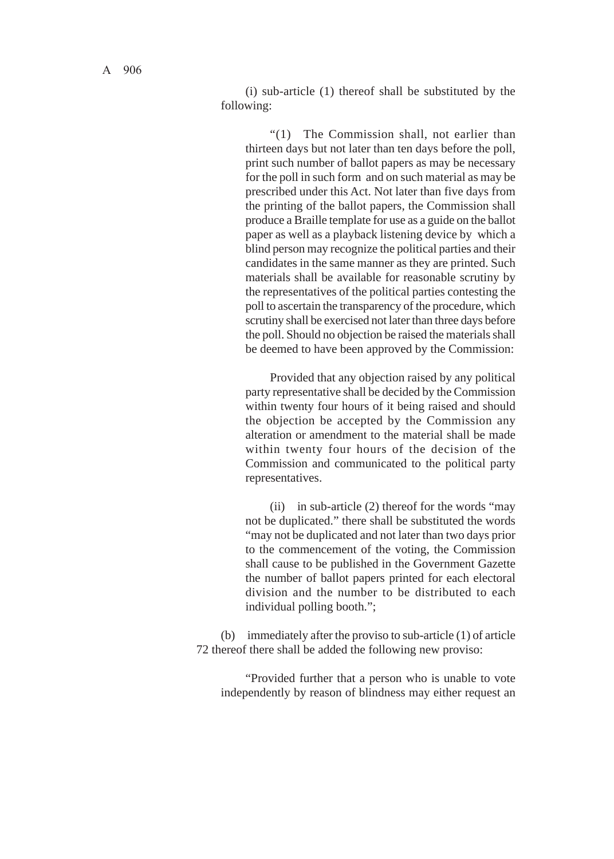(i) sub-article (1) thereof shall be substituted by the following:

"(1) The Commission shall, not earlier than thirteen days but not later than ten days before the poll, print such number of ballot papers as may be necessary for the poll in such form and on such material as may be prescribed under this Act. Not later than five days from the printing of the ballot papers, the Commission shall produce a Braille template for use as a guide on the ballot paper as well as a playback listening device by which a blind person may recognize the political parties and their candidates in the same manner as they are printed. Such materials shall be available for reasonable scrutiny by the representatives of the political parties contesting the poll to ascertain the transparency of the procedure, which scrutiny shall be exercised not later than three days before the poll. Should no objection be raised the materials shall be deemed to have been approved by the Commission:

Provided that any objection raised by any political party representative shall be decided by the Commission within twenty four hours of it being raised and should the objection be accepted by the Commission any alteration or amendment to the material shall be made within twenty four hours of the decision of the Commission and communicated to the political party representatives.

(ii) in sub-article (2) thereof for the words "may not be duplicated." there shall be substituted the words "may not be duplicated and not later than two days prior to the commencement of the voting, the Commission shall cause to be published in the Government Gazette the number of ballot papers printed for each electoral division and the number to be distributed to each individual polling booth.";

(b) immediately after the proviso to sub-article (1) of article 72 thereof there shall be added the following new proviso:

"Provided further that a person who is unable to vote independently by reason of blindness may either request an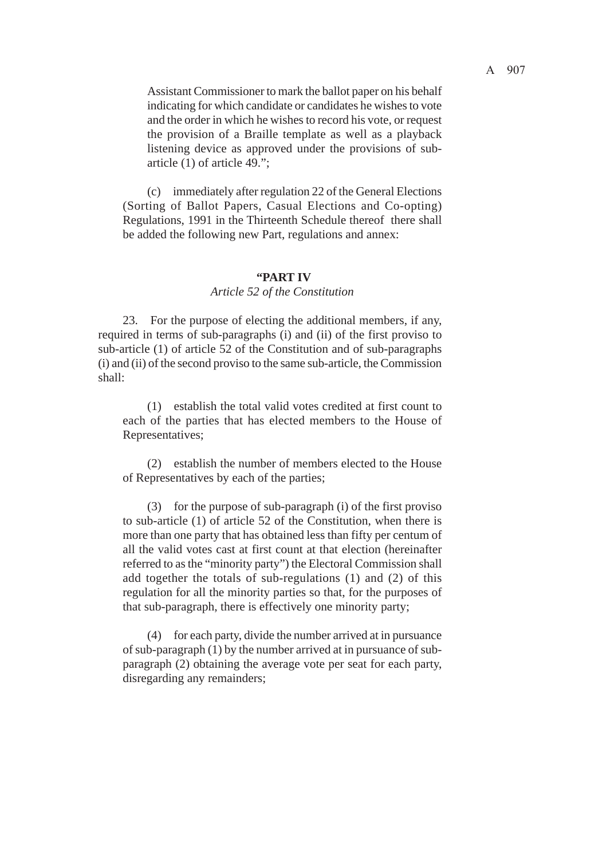Assistant Commissioner to mark the ballot paper on his behalf indicating for which candidate or candidates he wishes to vote and the order in which he wishes to record his vote, or request the provision of a Braille template as well as a playback listening device as approved under the provisions of subarticle (1) of article 49.";

(c) immediately after regulation 22 of the General Elections (Sorting of Ballot Papers, Casual Elections and Co-opting) Regulations, 1991 in the Thirteenth Schedule thereof there shall be added the following new Part, regulations and annex:

#### **"PART IV**

#### *Article 52 of the Constitution*

23. For the purpose of electing the additional members, if any, required in terms of sub-paragraphs (i) and (ii) of the first proviso to sub-article (1) of article 52 of the Constitution and of sub-paragraphs (i) and (ii) of the second proviso to the same sub-article, the Commission shall:

(1) establish the total valid votes credited at first count to each of the parties that has elected members to the House of Representatives;

(2) establish the number of members elected to the House of Representatives by each of the parties;

(3) for the purpose of sub-paragraph (i) of the first proviso to sub-article (1) of article 52 of the Constitution, when there is more than one party that has obtained less than fifty per centum of all the valid votes cast at first count at that election (hereinafter referred to as the "minority party") the Electoral Commission shall add together the totals of sub-regulations (1) and (2) of this regulation for all the minority parties so that, for the purposes of that sub-paragraph, there is effectively one minority party;

(4) for each party, divide the number arrived at in pursuance of sub-paragraph (1) by the number arrived at in pursuance of subparagraph (2) obtaining the average vote per seat for each party, disregarding any remainders;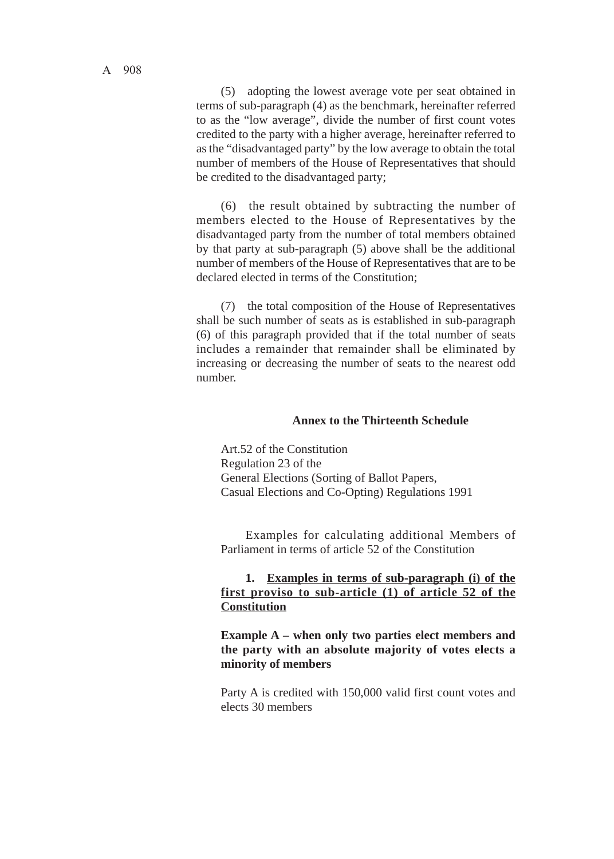A 908

(5) adopting the lowest average vote per seat obtained in terms of sub-paragraph (4) as the benchmark, hereinafter referred to as the "low average", divide the number of first count votes credited to the party with a higher average, hereinafter referred to as the "disadvantaged party" by the low average to obtain the total number of members of the House of Representatives that should be credited to the disadvantaged party;

(6) the result obtained by subtracting the number of members elected to the House of Representatives by the disadvantaged party from the number of total members obtained by that party at sub-paragraph (5) above shall be the additional number of members of the House of Representatives that are to be declared elected in terms of the Constitution;

(7) the total composition of the House of Representatives shall be such number of seats as is established in sub-paragraph (6) of this paragraph provided that if the total number of seats includes a remainder that remainder shall be eliminated by increasing or decreasing the number of seats to the nearest odd number.

#### **Annex to the Thirteenth Schedule**

Art.52 of the Constitution Regulation 23 of the General Elections (Sorting of Ballot Papers, Casual Elections and Co-Opting) Regulations 1991

Examples for calculating additional Members of Parliament in terms of article 52 of the Constitution

# **1. Examples in terms of sub-paragraph (i) of the first proviso to sub-article (1) of article 52 of the Constitution**

**Example A – when only two parties elect members and the party with an absolute majority of votes elects a minority of members**

Party A is credited with 150,000 valid first count votes and elects 30 members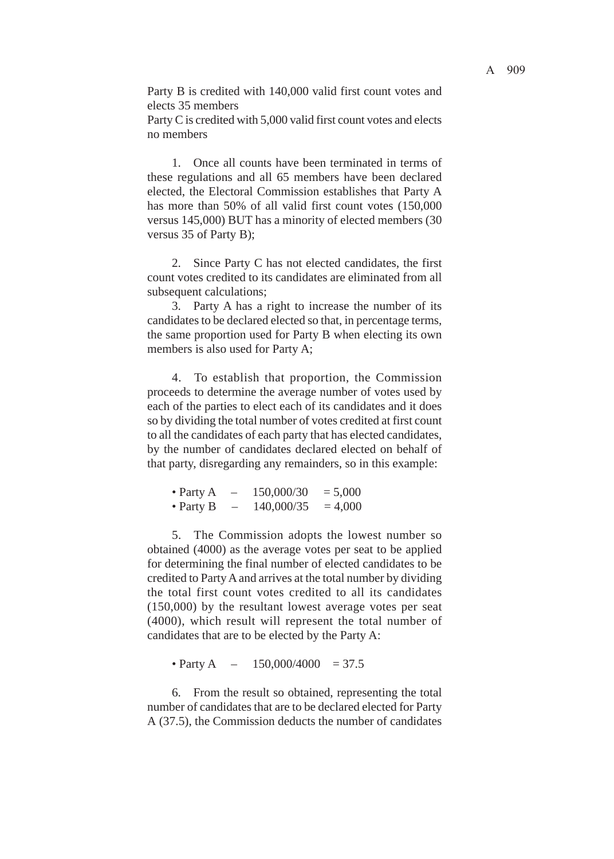Party B is credited with 140,000 valid first count votes and elects 35 members

Party C is credited with 5,000 valid first count votes and elects no members

1. Once all counts have been terminated in terms of these regulations and all 65 members have been declared elected, the Electoral Commission establishes that Party A has more than 50% of all valid first count votes (150,000 versus 145,000) BUT has a minority of elected members (30 versus 35 of Party B);

2. Since Party C has not elected candidates, the first count votes credited to its candidates are eliminated from all subsequent calculations:

3. Party A has a right to increase the number of its candidates to be declared elected so that, in percentage terms, the same proportion used for Party B when electing its own members is also used for Party A;

4. To establish that proportion, the Commission proceeds to determine the average number of votes used by each of the parties to elect each of its candidates and it does so by dividing the total number of votes credited at first count to all the candidates of each party that has elected candidates, by the number of candidates declared elected on behalf of that party, disregarding any remainders, so in this example:

| • Party $A$ | 150,000/30 | $= 5,000$ |
|-------------|------------|-----------|
| • Party $B$ | 140,000/35 | $= 4,000$ |

5. The Commission adopts the lowest number so obtained (4000) as the average votes per seat to be applied for determining the final number of elected candidates to be credited to Party A and arrives at the total number by dividing the total first count votes credited to all its candidates (150,000) by the resultant lowest average votes per seat (4000), which result will represent the total number of candidates that are to be elected by the Party A:

• Party A –  $150,000/4000 = 37.5$ 

6. From the result so obtained, representing the total number of candidates that are to be declared elected for Party A (37.5), the Commission deducts the number of candidates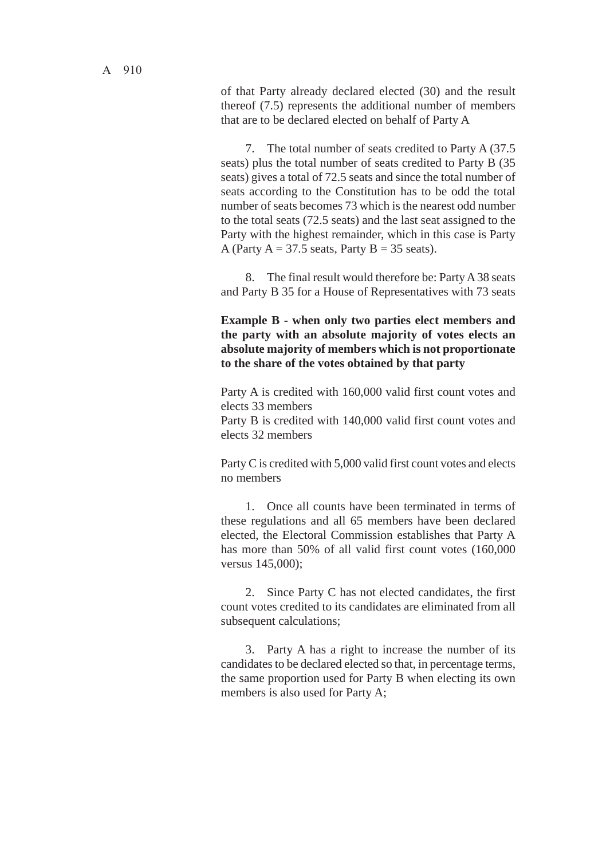of that Party already declared elected (30) and the result thereof (7.5) represents the additional number of members that are to be declared elected on behalf of Party A

7. The total number of seats credited to Party A (37.5 seats) plus the total number of seats credited to Party B (35 seats) gives a total of 72.5 seats and since the total number of seats according to the Constitution has to be odd the total number of seats becomes 73 which is the nearest odd number to the total seats (72.5 seats) and the last seat assigned to the Party with the highest remainder, which in this case is Party A (Party  $A = 37.5$  seats, Party  $B = 35$  seats).

8. The final result would therefore be: Party A 38 seats and Party B 35 for a House of Representatives with 73 seats

# **Example B - when only two parties elect members and the party with an absolute majority of votes elects an absolute majority of members which is not proportionate to the share of the votes obtained by that party**

Party A is credited with 160,000 valid first count votes and elects 33 members

Party B is credited with 140,000 valid first count votes and elects 32 members

Party C is credited with 5,000 valid first count votes and elects no members

1. Once all counts have been terminated in terms of these regulations and all 65 members have been declared elected, the Electoral Commission establishes that Party A has more than 50% of all valid first count votes (160,000 versus 145,000);

2. Since Party C has not elected candidates, the first count votes credited to its candidates are eliminated from all subsequent calculations;

3. Party A has a right to increase the number of its candidates to be declared elected so that, in percentage terms, the same proportion used for Party B when electing its own members is also used for Party A;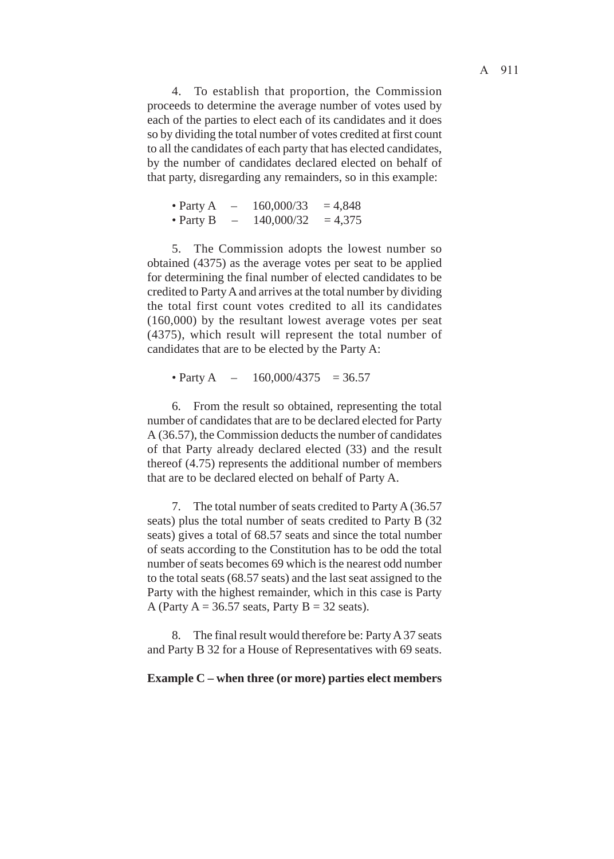4. To establish that proportion, the Commission proceeds to determine the average number of votes used by each of the parties to elect each of its candidates and it does so by dividing the total number of votes credited at first count to all the candidates of each party that has elected candidates, by the number of candidates declared elected on behalf of that party, disregarding any remainders, so in this example:

| • Party $A$ |   | 160,000/33 | $= 4,848$ |
|-------------|---|------------|-----------|
| • Party $B$ | - | 140,000/32 | $= 4,375$ |

5. The Commission adopts the lowest number so obtained (4375) as the average votes per seat to be applied for determining the final number of elected candidates to be credited to Party A and arrives at the total number by dividing the total first count votes credited to all its candidates (160,000) by the resultant lowest average votes per seat (4375), which result will represent the total number of candidates that are to be elected by the Party A:

• Party A –  $160,000/4375 = 36.57$ 

6. From the result so obtained, representing the total number of candidates that are to be declared elected for Party A (36.57), the Commission deducts the number of candidates of that Party already declared elected (33) and the result thereof (4.75) represents the additional number of members that are to be declared elected on behalf of Party A.

7. The total number of seats credited to Party A (36.57 seats) plus the total number of seats credited to Party B (32 seats) gives a total of 68.57 seats and since the total number of seats according to the Constitution has to be odd the total number of seats becomes 69 which is the nearest odd number to the total seats (68.57 seats) and the last seat assigned to the Party with the highest remainder, which in this case is Party A (Party  $A = 36.57$  seats, Party  $B = 32$  seats).

8. The final result would therefore be: Party A 37 seats and Party B 32 for a House of Representatives with 69 seats.

#### **Example C – when three (or more) parties elect members**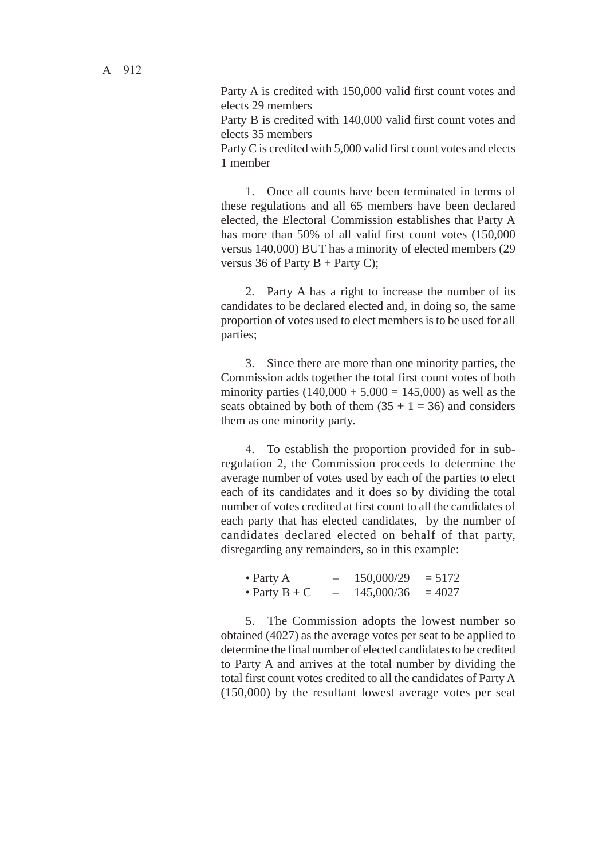Party A is credited with 150,000 valid first count votes and elects 29 members

Party B is credited with 140,000 valid first count votes and elects 35 members

Party C is credited with 5,000 valid first count votes and elects 1 member

1. Once all counts have been terminated in terms of these regulations and all 65 members have been declared elected, the Electoral Commission establishes that Party A has more than 50% of all valid first count votes (150,000 versus 140,000) BUT has a minority of elected members (29 versus 36 of Party  $B$  + Party C);

2. Party A has a right to increase the number of its candidates to be declared elected and, in doing so, the same proportion of votes used to elect members is to be used for all parties;

3. Since there are more than one minority parties, the Commission adds together the total first count votes of both minority parties  $(140,000 + 5,000 = 145,000)$  as well as the seats obtained by both of them  $(35 + 1 = 36)$  and considers them as one minority party.

4. To establish the proportion provided for in subregulation 2, the Commission proceeds to determine the average number of votes used by each of the parties to elect each of its candidates and it does so by dividing the total number of votes credited at first count to all the candidates of each party that has elected candidates, by the number of candidates declared elected on behalf of that party, disregarding any remainders, so in this example:

| • Party $A$     | 150,000/29 | $= 5172$ |
|-----------------|------------|----------|
| • Party $B + C$ | 145,000/36 | $= 4027$ |

5. The Commission adopts the lowest number so obtained (4027) as the average votes per seat to be applied to determine the final number of elected candidates to be credited to Party A and arrives at the total number by dividing the total first count votes credited to all the candidates of Party A (150,000) by the resultant lowest average votes per seat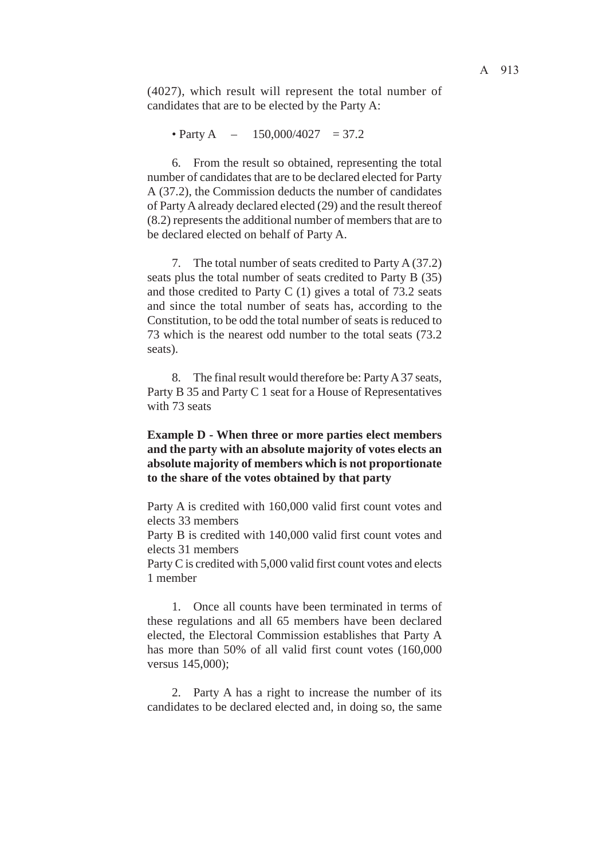(4027), which result will represent the total number of candidates that are to be elected by the Party A:

• Party A – 150,000/4027 = 37.2

6. From the result so obtained, representing the total number of candidates that are to be declared elected for Party A (37.2), the Commission deducts the number of candidates of Party A already declared elected (29) and the result thereof (8.2) represents the additional number of members that are to be declared elected on behalf of Party A.

7. The total number of seats credited to Party A (37.2) seats plus the total number of seats credited to Party B (35) and those credited to Party C  $(1)$  gives a total of 73.2 seats and since the total number of seats has, according to the Constitution, to be odd the total number of seats is reduced to 73 which is the nearest odd number to the total seats (73.2 seats).

8. The final result would therefore be: Party A 37 seats, Party B 35 and Party C 1 seat for a House of Representatives with 73 seats

# **Example D - When three or more parties elect members and the party with an absolute majority of votes elects an absolute majority of members which is not proportionate to the share of the votes obtained by that party**

Party A is credited with 160,000 valid first count votes and elects 33 members

Party B is credited with 140,000 valid first count votes and elects 31 members

Party C is credited with 5,000 valid first count votes and elects 1 member

1. Once all counts have been terminated in terms of these regulations and all 65 members have been declared elected, the Electoral Commission establishes that Party A has more than 50% of all valid first count votes (160,000 versus 145,000);

2. Party A has a right to increase the number of its candidates to be declared elected and, in doing so, the same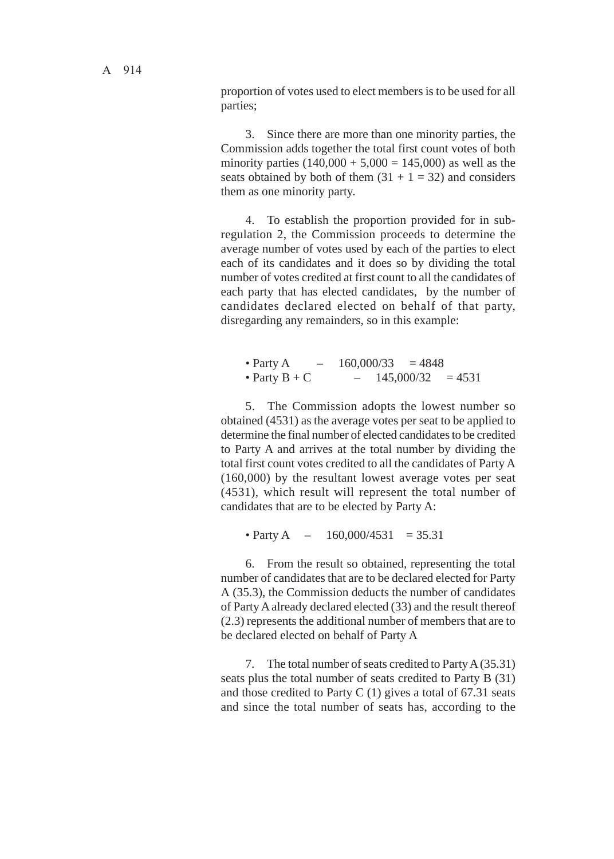proportion of votes used to elect members is to be used for all parties;

3. Since there are more than one minority parties, the Commission adds together the total first count votes of both minority parties  $(140,000 + 5,000 = 145,000)$  as well as the seats obtained by both of them  $(31 + 1 = 32)$  and considers them as one minority party.

4. To establish the proportion provided for in subregulation 2, the Commission proceeds to determine the average number of votes used by each of the parties to elect each of its candidates and it does so by dividing the total number of votes credited at first count to all the candidates of each party that has elected candidates, by the number of candidates declared elected on behalf of that party, disregarding any remainders, so in this example:

• Party A –  $160,000/33 = 4848$ • Party B + C – 145,000/32 = 4531

5. The Commission adopts the lowest number so obtained (4531) as the average votes per seat to be applied to determine the final number of elected candidates to be credited to Party A and arrives at the total number by dividing the total first count votes credited to all the candidates of Party A (160,000) by the resultant lowest average votes per seat (4531), which result will represent the total number of candidates that are to be elected by Party A:

• Party A –  $160,000/4531 = 35.31$ 

6. From the result so obtained, representing the total number of candidates that are to be declared elected for Party A (35.3), the Commission deducts the number of candidates of Party A already declared elected (33) and the result thereof (2.3) represents the additional number of members that are to be declared elected on behalf of Party A

7. The total number of seats credited to Party A (35.31) seats plus the total number of seats credited to Party B (31) and those credited to Party C  $(1)$  gives a total of 67.31 seats and since the total number of seats has, according to the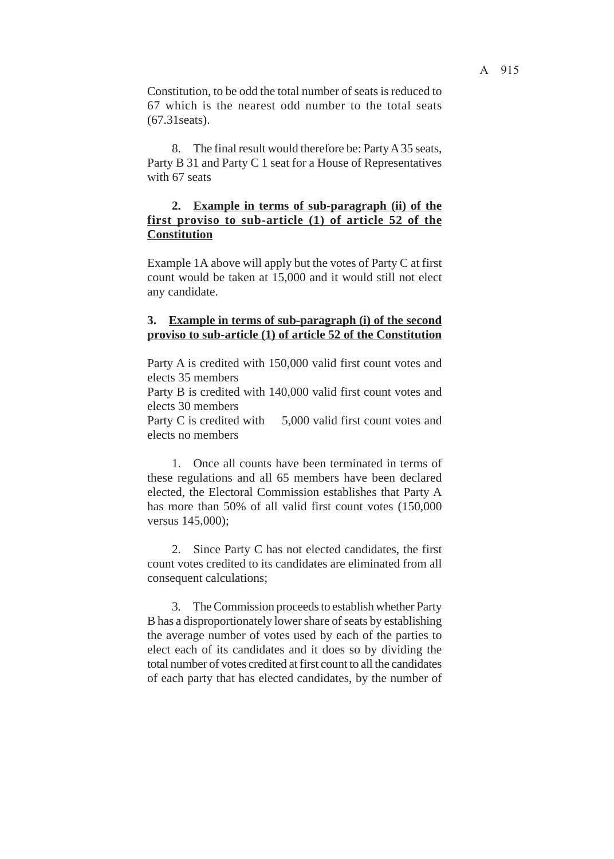Constitution, to be odd the total number of seats is reduced to 67 which is the nearest odd number to the total seats (67.31seats).

8. The final result would therefore be: Party A 35 seats, Party B 31 and Party C 1 seat for a House of Representatives with 67 seats

# **2. Example in terms of sub-paragraph (ii) of the first proviso to sub-article (1) of article 52 of the Constitution**

Example 1A above will apply but the votes of Party C at first count would be taken at 15,000 and it would still not elect any candidate.

## **3. Example in terms of sub-paragraph (i) of the second proviso to sub-article (1) of article 52 of the Constitution**

Party A is credited with 150,000 valid first count votes and elects 35 members Party B is credited with 140,000 valid first count votes and elects 30 members

Party C is credited with 5,000 valid first count votes and elects no members

1. Once all counts have been terminated in terms of these regulations and all 65 members have been declared elected, the Electoral Commission establishes that Party A has more than 50% of all valid first count votes (150,000 versus 145,000);

2. Since Party C has not elected candidates, the first count votes credited to its candidates are eliminated from all consequent calculations;

3. The Commission proceeds to establish whether Party B has a disproportionately lower share of seats by establishing the average number of votes used by each of the parties to elect each of its candidates and it does so by dividing the total number of votes credited at first count to all the candidates of each party that has elected candidates, by the number of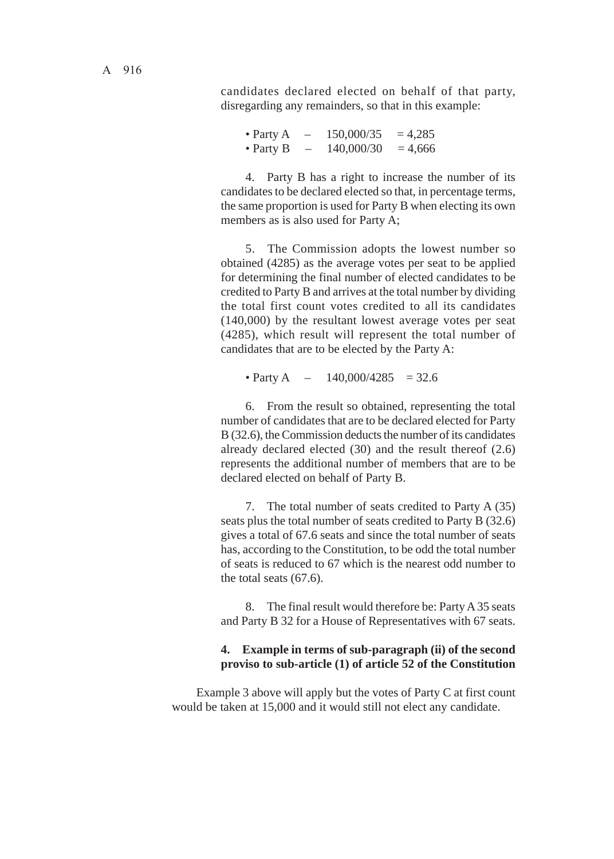candidates declared elected on behalf of that party, disregarding any remainders, so that in this example:

• Party A –  $150,000/35 = 4,285$ • Party B –  $140,000/30 = 4,666$ 

4. Party B has a right to increase the number of its candidates to be declared elected so that, in percentage terms, the same proportion is used for Party B when electing its own members as is also used for Party A;

5. The Commission adopts the lowest number so obtained (4285) as the average votes per seat to be applied for determining the final number of elected candidates to be credited to Party B and arrives at the total number by dividing the total first count votes credited to all its candidates (140,000) by the resultant lowest average votes per seat (4285), which result will represent the total number of candidates that are to be elected by the Party A:

• Party A –  $140,000/4285 = 32.6$ 

6. From the result so obtained, representing the total number of candidates that are to be declared elected for Party B (32.6), the Commission deducts the number of its candidates already declared elected (30) and the result thereof (2.6) represents the additional number of members that are to be declared elected on behalf of Party B.

7. The total number of seats credited to Party A (35) seats plus the total number of seats credited to Party B (32.6) gives a total of 67.6 seats and since the total number of seats has, according to the Constitution, to be odd the total number of seats is reduced to 67 which is the nearest odd number to the total seats (67.6).

8. The final result would therefore be: Party A 35 seats and Party B 32 for a House of Representatives with 67 seats.

## **4. Example in terms of sub-paragraph (ii) of the second proviso to sub-article (1) of article 52 of the Constitution**

Example 3 above will apply but the votes of Party C at first count would be taken at 15,000 and it would still not elect any candidate.

A 916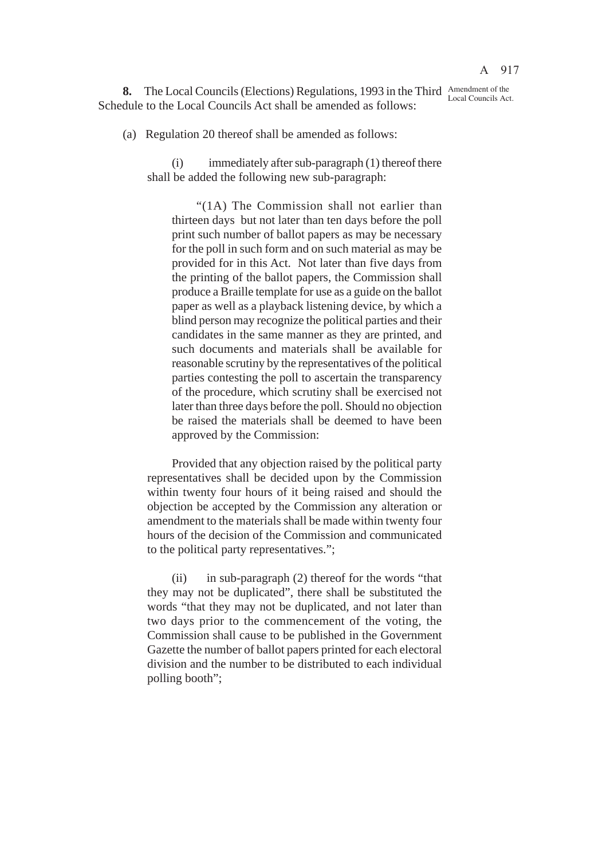**8.** The Local Councils (Elections) Regulations, 1993 in the Third Amendment of the Schedule to the Local Councils Act shall be amended as follows: Local Councils Act.

(a) Regulation 20 thereof shall be amended as follows:

(i) immediately after sub-paragraph (1) thereof there shall be added the following new sub-paragraph:

"(1A) The Commission shall not earlier than thirteen days but not later than ten days before the poll print such number of ballot papers as may be necessary for the poll in such form and on such material as may be provided for in this Act. Not later than five days from the printing of the ballot papers, the Commission shall produce a Braille template for use as a guide on the ballot paper as well as a playback listening device, by which a blind person may recognize the political parties and their candidates in the same manner as they are printed, and such documents and materials shall be available for reasonable scrutiny by the representatives of the political parties contesting the poll to ascertain the transparency of the procedure, which scrutiny shall be exercised not later than three days before the poll. Should no objection be raised the materials shall be deemed to have been approved by the Commission:

Provided that any objection raised by the political party representatives shall be decided upon by the Commission within twenty four hours of it being raised and should the objection be accepted by the Commission any alteration or amendment to the materials shall be made within twenty four hours of the decision of the Commission and communicated to the political party representatives.";

(ii) in sub-paragraph (2) thereof for the words "that they may not be duplicated", there shall be substituted the words "that they may not be duplicated, and not later than two days prior to the commencement of the voting, the Commission shall cause to be published in the Government Gazette the number of ballot papers printed for each electoral division and the number to be distributed to each individual polling booth";